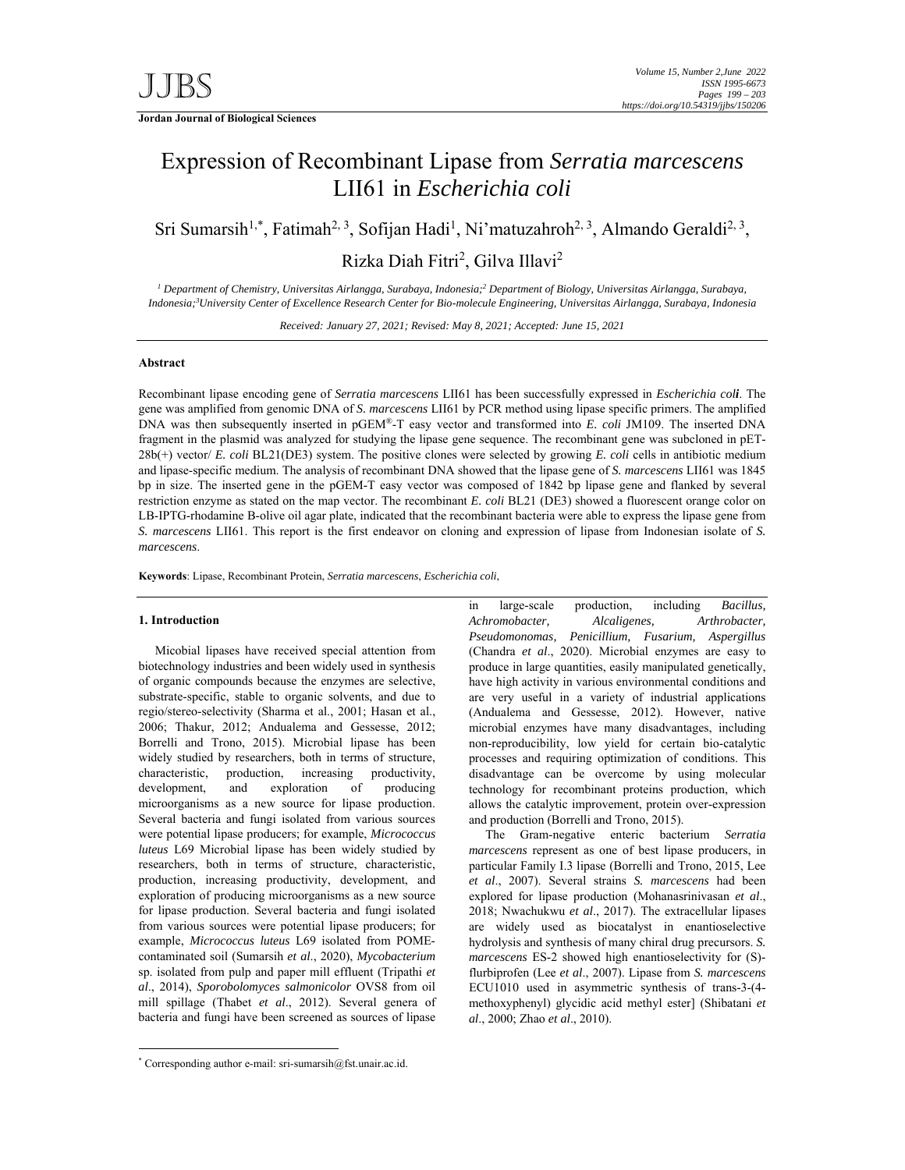**Jordan Journal of Biological Sciences** 

# Expression of Recombinant Lipase from *Serratia marcescens* LII61 in *Escherichia coli*

Sri Sumarsih<sup>1,\*</sup>, Fatimah<sup>2, 3</sup>, Sofijan Hadi<sup>1</sup>, Ni'matuzahroh<sup>2, 3</sup>, Almando Geraldi<sup>2, 3</sup>,

Rizka Diah Fitri<sup>2</sup>, Gilva Illavi<sup>2</sup>

<sup>1</sup> Department of Chemistry, Universitas Airlangga, Surabaya, Indonesia;<sup>2</sup> Department of Biology, Universitas Airlangga, Surabaya, *Indonesia;3 University Center of Excellence Research Center for Bio-molecule Engineering, Universitas Airlangga, Surabaya, Indonesia* 

*Received: January 27, 2021; Revised: May 8, 2021; Accepted: June 15, 2021*

# **Abstract**

Recombinant lipase encoding gene of *Serratia marcescens* LII61 has been successfully expressed in *Escherichia coli*. The gene was amplified from genomic DNA of *S. marcescens* LII61 by PCR method using lipase specific primers. The amplified DNA was then subsequently inserted in pGEM®-T easy vector and transformed into *E. coli* JM109. The inserted DNA fragment in the plasmid was analyzed for studying the lipase gene sequence. The recombinant gene was subcloned in pET-28b(+) vector/ *E. coli* BL21(DE3) system. The positive clones were selected by growing *E. coli* cells in antibiotic medium and lipase-specific medium. The analysis of recombinant DNA showed that the lipase gene of *S. marcescens* LII61 was 1845 bp in size. The inserted gene in the pGEM-T easy vector was composed of 1842 bp lipase gene and flanked by several restriction enzyme as stated on the map vector. The recombinant *E. coli* BL21 (DE3) showed a fluorescent orange color on LB-IPTG-rhodamine B-olive oil agar plate, indicated that the recombinant bacteria were able to express the lipase gene from *S. marcescens* LII61. This report is the first endeavor on cloning and expression of lipase from Indonesian isolate of *S. marcescens*.

**Keywords**: Lipase, Recombinant Protein, *Serratia marcescens*, *Escherichia coli*,

#### **1. Introduction**

-

Micobial lipases have received special attention from biotechnology industries and been widely used in synthesis of organic compounds because the enzymes are selective, substrate-specific, stable to organic solvents, and due to regio/stereo-selectivity (Sharma et al., 2001; Hasan et al., 2006; Thakur, 2012; Andualema and Gessesse, 2012; Borrelli and Trono, 2015). Microbial lipase has been widely studied by researchers, both in terms of structure, characteristic, production, increasing productivity, development, and exploration of producing microorganisms as a new source for lipase production. Several bacteria and fungi isolated from various sources were potential lipase producers; for example, *Micrococcus luteus* L69 Microbial lipase has been widely studied by researchers, both in terms of structure, characteristic, production, increasing productivity, development, and exploration of producing microorganisms as a new source for lipase production. Several bacteria and fungi isolated from various sources were potential lipase producers; for example, *Micrococcus luteus* L69 isolated from POMEcontaminated soil (Sumarsih *et al*., 2020), *Mycobacterium* sp. isolated from pulp and paper mill effluent (Tripathi *et al*., 2014), *Sporobolomyces salmonicolor* OVS8 from oil mill spillage (Thabet *et al*., 2012). Several genera of bacteria and fungi have been screened as sources of lipase

\* Corresponding author e-mail: sri-sumarsih@fst.unair.ac.id.

in large-scale production, including *Bacillus, Achromobacter, Alcaligenes, Arthrobacter, Pseudomonomas, Penicillium, Fusarium, Aspergillus* (Chandra *et al*., 2020). Microbial enzymes are easy to produce in large quantities, easily manipulated genetically, have high activity in various environmental conditions and are very useful in a variety of industrial applications (Andualema and Gessesse, 2012). However, native microbial enzymes have many disadvantages, including non-reproducibility, low yield for certain bio-catalytic processes and requiring optimization of conditions. This disadvantage can be overcome by using molecular technology for recombinant proteins production, which allows the catalytic improvement, protein over-expression and production (Borrelli and Trono, 2015).

The Gram-negative enteric bacterium *Serratia marcescens* represent as one of best lipase producers, in particular Family I.3 lipase (Borrelli and Trono, 2015, Lee *et al*., 2007). Several strains *S. marcescens* had been explored for lipase production (Mohanasrinivasan *et al*., 2018; Nwachukwu *et al*., 2017). The extracellular lipases are widely used as biocatalyst in enantioselective hydrolysis and synthesis of many chiral drug precursors. *S. marcescens* ES-2 showed high enantioselectivity for (S) flurbiprofen (Lee *et al*., 2007). Lipase from *S. marcescens* ECU1010 used in asymmetric synthesis of trans-3-(4 methoxyphenyl) glycidic acid methyl ester] (Shibatani *et al*., 2000; Zhao *et al*., 2010).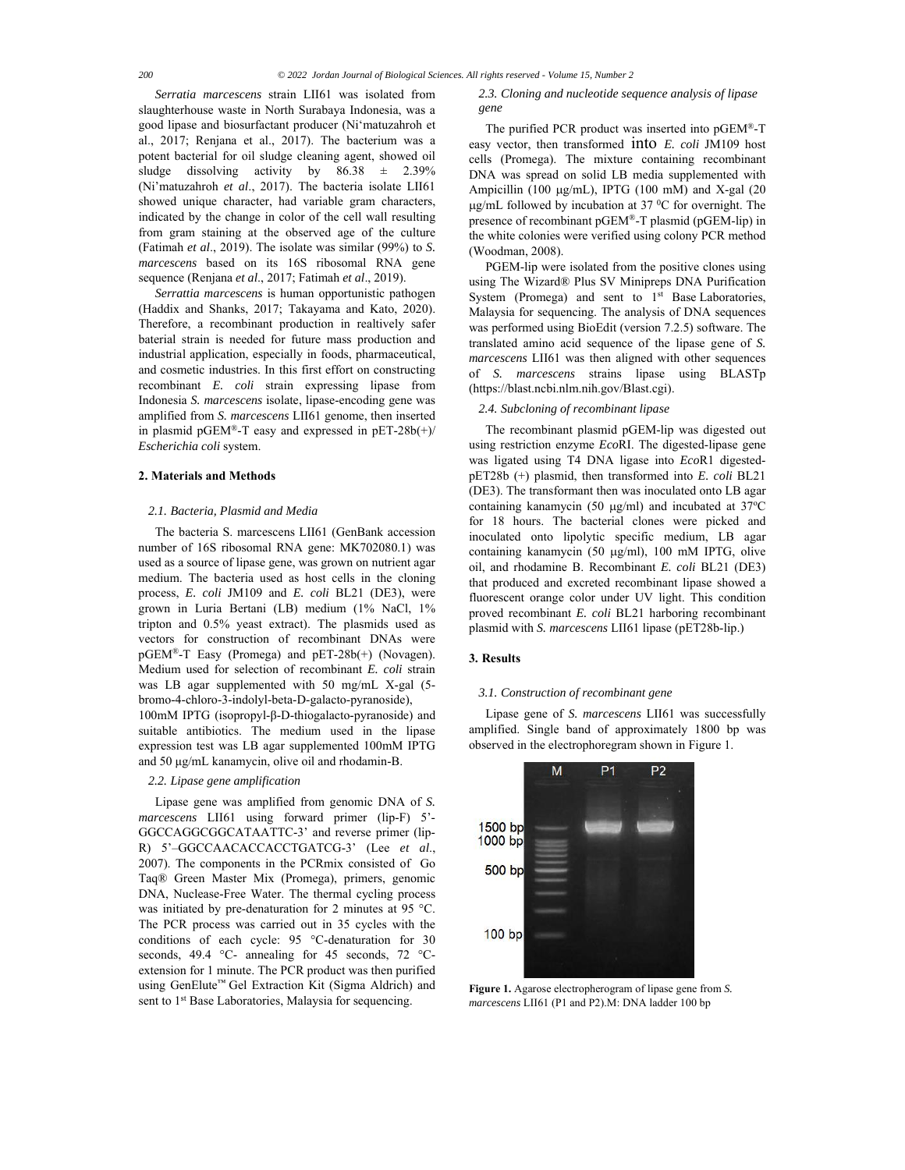*Serratia marcescens* strain LII61 was isolated from slaughterhouse waste in North Surabaya Indonesia, was a good lipase and biosurfactant producer (Ni'matuzahroh et al., 2017; Renjana et al., 2017). The bacterium was a potent bacterial for oil sludge cleaning agent, showed oil sludge dissolving activity by  $86.38 \pm 2.39\%$ (Ni'matuzahroh *et al*., 2017). The bacteria isolate LII61 showed unique character, had variable gram characters, indicated by the change in color of the cell wall resulting from gram staining at the observed age of the culture (Fatimah *et al*., 2019). The isolate was similar (99%) to *S. marcescens* based on its 16S ribosomal RNA gene sequence (Renjana *et al*., 2017; Fatimah *et al*., 2019).

*Serrattia marcescens* is human opportunistic pathogen (Haddix and Shanks, 2017; Takayama and Kato, 2020). Therefore, a recombinant production in realtively safer baterial strain is needed for future mass production and industrial application, especially in foods, pharmaceutical, and cosmetic industries. In this first effort on constructing recombinant *E. coli* strain expressing lipase from Indonesia *S. marcescens* isolate, lipase-encoding gene was amplified from *S. marcescens* LII61 genome, then inserted in plasmid pGEM®-T easy and expressed in pET-28b(+)/ *Escherichia coli* system.

# **2. Materials and Methods**

# *2.1. Bacteria, Plasmid and Media*

The bacteria S. marcescens LII61 (GenBank accession number of 16S ribosomal RNA gene: MK702080.1) was used as a source of lipase gene, was grown on nutrient agar medium. The bacteria used as host cells in the cloning process, *E. coli* JM109 and *E. coli* BL21 (DE3), were grown in Luria Bertani (LB) medium (1% NaCl, 1% tripton and 0.5% yeast extract). The plasmids used as vectors for construction of recombinant DNAs were pGEM®-T Easy (Promega) and pET-28b(+) (Novagen). Medium used for selection of recombinant *E. coli* strain was LB agar supplemented with 50 mg/mL X-gal (5 bromo-4-chloro-3-indolyl-beta-D-galacto-pyranoside),

100mM IPTG (isopropyl-β-D-thiogalacto-pyranoside) and suitable antibiotics. The medium used in the lipase expression test was LB agar supplemented 100mM IPTG and 50 μg/mL kanamycin, olive oil and rhodamin-B.

# *2.2. Lipase gene amplification*

Lipase gene was amplified from genomic DNA of *S. marcescens* LII61 using forward primer (lip-F) 5'- GGCCAGGCGGCATAATTC-3' and reverse primer (lip-R) 5'–GGCCAACACCACCTGATCG-3' (Lee *et al*., 2007). The components in the PCRmix consisted of Go Taq® Green Master Mix (Promega), primers, genomic DNA, Nuclease-Free Water. The thermal cycling process was initiated by pre-denaturation for 2 minutes at 95 °C. The PCR process was carried out in 35 cycles with the conditions of each cycle: 95 °C-denaturation for 30 seconds, 49.4 °C- annealing for 45 seconds, 72 °Cextension for 1 minute. The PCR product was then purified using GenElute™ Gel Extraction Kit (Sigma Aldrich) and sent to 1<sup>st</sup> Base Laboratories, Malaysia for sequencing.

#### *2.3. Cloning and nucleotide sequence analysis of lipase gene*

The purified PCR product was inserted into pGEM®-T easy vector, then transformed into *E. coli* JM109 host cells (Promega). The mixture containing recombinant DNA was spread on solid LB media supplemented with Ampicillin (100  $\mu$ g/mL), IPTG (100 mM) and X-gal (20  $\mu$ g/mL followed by incubation at 37 °C for overnight. The presence of recombinant pGEM®-T plasmid (pGEM-lip) in the white colonies were verified using colony PCR method (Woodman, 2008).

PGEM-lip were isolated from the positive clones using using The Wizard® Plus SV Minipreps DNA Purification System (Promega) and sent to  $1<sup>st</sup>$  Base Laboratories, Malaysia for sequencing. The analysis of DNA sequences was performed using BioEdit (version 7.2.5) software. The translated amino acid sequence of the lipase gene of *S. marcescens* LII61 was then aligned with other sequences of *S. marcescens* strains lipase using BLASTp (https://blast.ncbi.nlm.nih.gov/Blast.cgi).

# *2.4. Subcloning of recombinant lipase*

The recombinant plasmid pGEM-lip was digested out using restriction enzyme *Eco*RI. The digested-lipase gene was ligated using T4 DNA ligase into *Eco*R1 digestedpET28b (+) plasmid, then transformed into *E. coli* BL21 (DE3). The transformant then was inoculated onto LB agar containing kanamycin (50  $\mu$ g/ml) and incubated at 37°C for 18 hours. The bacterial clones were picked and inoculated onto lipolytic specific medium, LB agar containing kanamycin (50  $\mu$ g/ml), 100 mM IPTG, olive oil, and rhodamine B. Recombinant *E. coli* BL21 (DE3) that produced and excreted recombinant lipase showed a fluorescent orange color under UV light. This condition proved recombinant *E. coli* BL21 harboring recombinant plasmid with *S. marcescens* LII61 lipase (pET28b-lip.)

# **3. Results**

#### *3.1. Construction of recombinant gene*

Lipase gene of *S. marcescens* LII61 was successfully amplified. Single band of approximately 1800 bp was observed in the electrophoregram shown in Figure 1.



**Figure 1.** Agarose electropherogram of lipase gene from *S. marcescens* LII61 (P1 and P2).M: DNA ladder 100 bp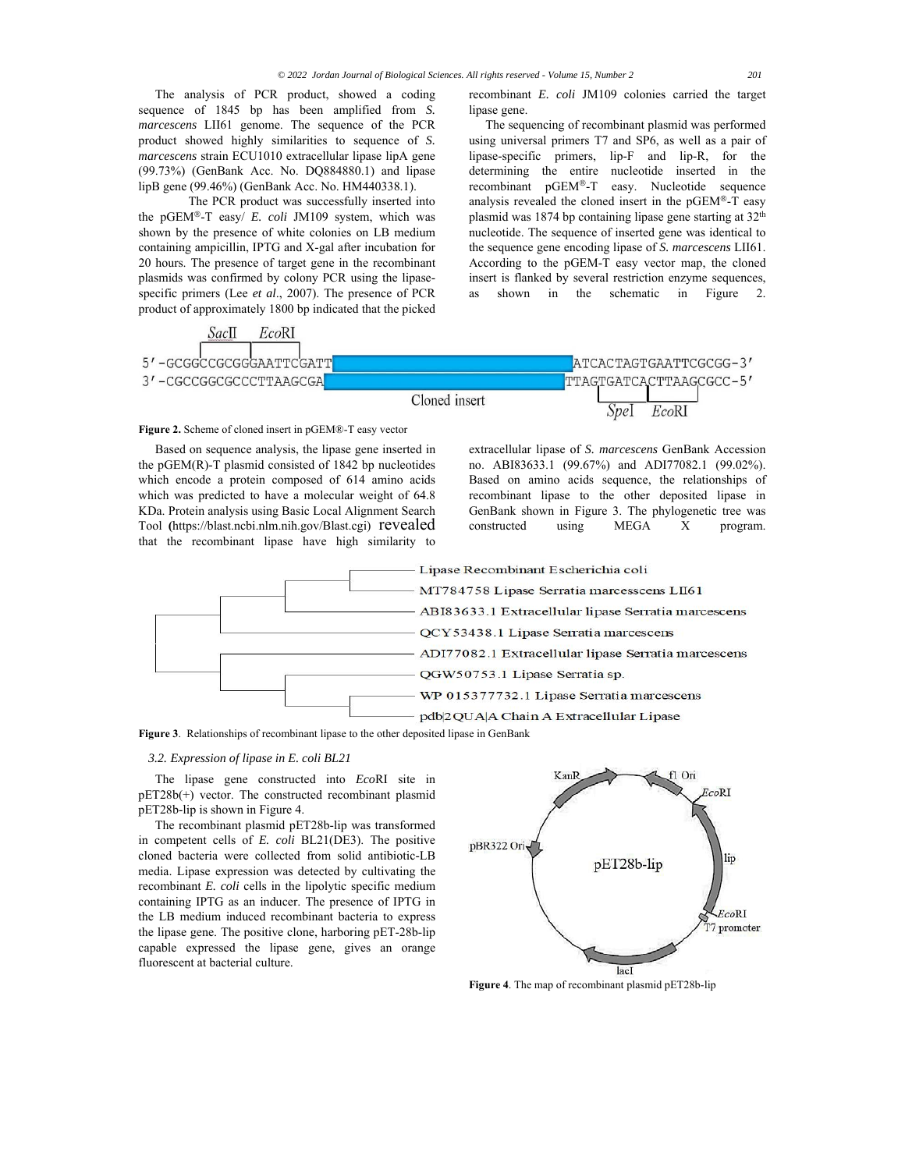The analysis of PCR product, showed a coding sequence of 1845 bp has been amplified from *S. marcescens* LII61 genome. The sequence of the PCR product showed highly similarities to sequence of *S. marcescens* strain ECU1010 extracellular lipase lipA gene (99.73%) (GenBank Acc. No. DQ884880.1) and lipase lipB gene (99.46%) (GenBank Acc. No. HM440338.1).

 The PCR product was successfully inserted into the pGEM®-T easy/ *E. coli* JM109 system, which was shown by the presence of white colonies on LB medium containing ampicillin, IPTG and X-gal after incubation for 20 hours. The presence of target gene in the recombinant plasmids was confirmed by colony PCR using the lipasespecific primers (Lee *et al*., 2007). The presence of PCR product of approximately 1800 bp indicated that the picked recombinant *E. coli* JM109 colonies carried the target lipase gene.

The sequencing of recombinant plasmid was performed using universal primers T7 and SP6, as well as a pair of lipase-specific primers, lip-F and lip-R, for the determining the entire nucleotide inserted in the recombinant pGEM®-T easy. Nucleotide sequence analysis revealed the cloned insert in the pGEM®-T easy plasmid was 1874 bp containing lipase gene starting at 32<sup>th</sup> nucleotide. The sequence of inserted gene was identical to the sequence gene encoding lipase of *S. marcescens* LII61. According to the pGEM-T easy vector map, the cloned insert is flanked by several restriction enzyme sequences, as shown in the schematic in Figure 2.



# **Figure 2.** Scheme of cloned insert in pGEM®-T easy vector

Based on sequence analysis, the lipase gene inserted in the pGEM(R)-T plasmid consisted of 1842 bp nucleotides which encode a protein composed of 614 amino acids which was predicted to have a molecular weight of 64.8 KDa. Protein analysis using Basic Local Alignment Search Tool **(**https://blast.ncbi.nlm.nih.gov/Blast.cgi) revealed that the recombinant lipase have high similarity to

extracellular lipase of *S. marcescens* GenBank Accession no. ABI83633.1 (99.67%) and ADI77082.1 (99.02%). Based on amino acids sequence, the relationships of recombinant lipase to the other deposited lipase in GenBank shown in Figure 3. The phylogenetic tree was constructed using MEGA X program.



**Figure 3**. Relationships of recombinant lipase to the other deposited lipase in GenBank

# *3.2. Expression of lipase in E. coli BL21*

The lipase gene constructed into *Eco*RI site in pET28b(+) vector. The constructed recombinant plasmid pET28b-lip is shown in Figure 4.

The recombinant plasmid pET28b-lip was transformed in competent cells of *E. coli* BL21(DE3). The positive cloned bacteria were collected from solid antibiotic-LB media. Lipase expression was detected by cultivating the recombinant *E. coli* cells in the lipolytic specific medium containing IPTG as an inducer. The presence of IPTG in the LB medium induced recombinant bacteria to express the lipase gene. The positive clone, harboring pET-28b-lip capable expressed the lipase gene, gives an orange fluorescent at bacterial culture.



**Figure 4**. The map of recombinant plasmid pET28b-lip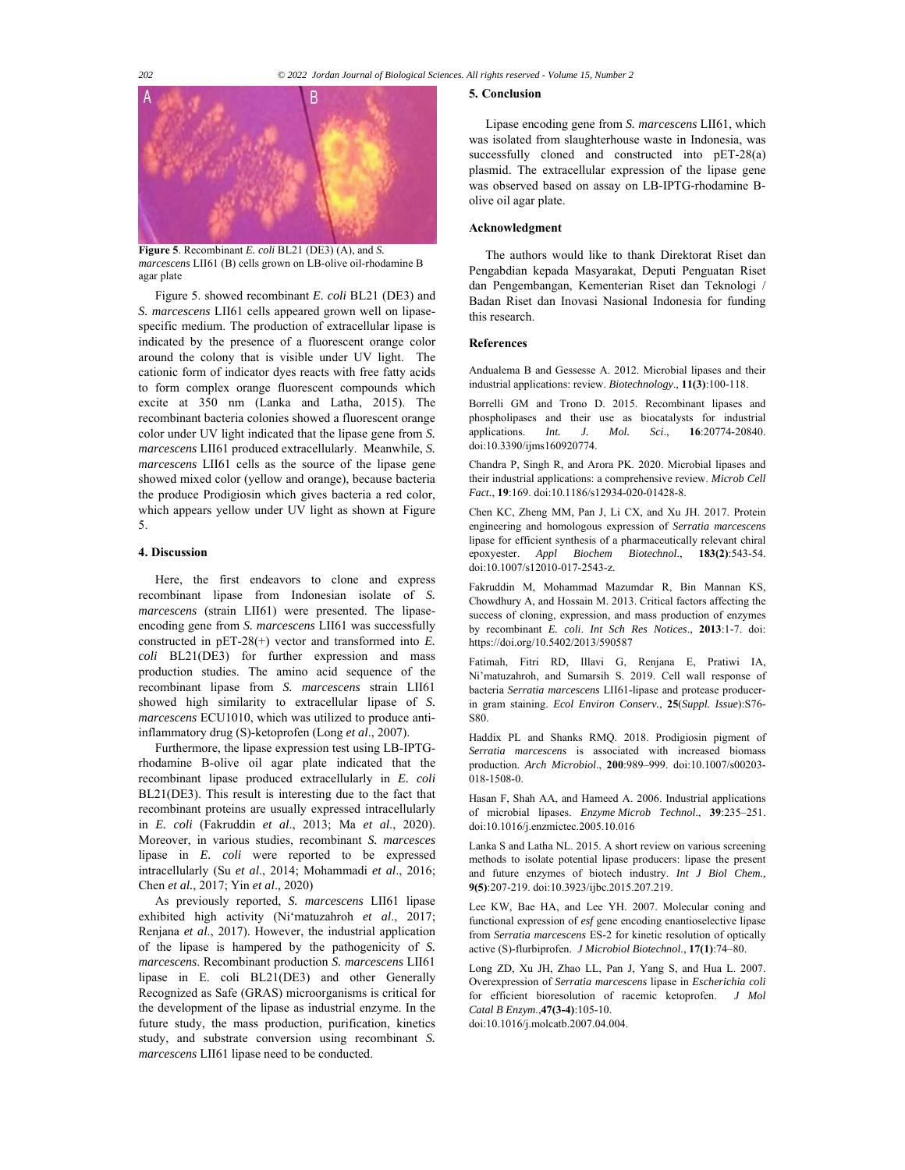

*marcescens* LII61 (B) cells grown on LB-olive oil-rhodamine B agar plate

Figure 5. showed recombinant *E. coli* BL21 (DE3) and *S. marcescens* LII61 cells appeared grown well on lipasespecific medium. The production of extracellular lipase is indicated by the presence of a fluorescent orange color around the colony that is visible under UV light. The cationic form of indicator dyes reacts with free fatty acids to form complex orange fluorescent compounds which excite at 350 nm (Lanka and Latha, 2015). The recombinant bacteria colonies showed a fluorescent orange color under UV light indicated that the lipase gene from *S. marcescens* LII61 produced extracellularly. Meanwhile, *S. marcescens* LII61 cells as the source of the lipase gene showed mixed color (yellow and orange), because bacteria the produce Prodigiosin which gives bacteria a red color, which appears yellow under UV light as shown at Figure 5.

# **4. Discussion**

Here, the first endeavors to clone and express recombinant lipase from Indonesian isolate of *S. marcescens* (strain LII61) were presented. The lipaseencoding gene from *S. marcescens* LII61 was successfully constructed in pET-28(+) vector and transformed into *E. coli* BL21(DE3) for further expression and mass production studies. The amino acid sequence of the recombinant lipase from *S. marcescens* strain LII61 showed high similarity to extracellular lipase of *S. marcescens* ECU1010, which was utilized to produce antiinflammatory drug (S)-ketoprofen (Long *et al*., 2007).

Furthermore, the lipase expression test using LB-IPTGrhodamine B-olive oil agar plate indicated that the recombinant lipase produced extracellularly in *E. coli* BL21(DE3). This result is interesting due to the fact that recombinant proteins are usually expressed intracellularly in *E. coli* (Fakruddin *et al*., 2013; Ma *et al*., 2020). Moreover, in various studies, recombinant *S. marcesces* lipase in *E. coli* were reported to be expressed intracellularly (Su *et al*., 2014; Mohammadi *et al*., 2016; Chen *et al.*, 2017; Yin *et al*., 2020)

As previously reported, *S. marcescens* LII61 lipase exhibited high activity (Ni'matuzahroh *et al*., 2017; Renjana *et al*., 2017). However, the industrial application of the lipase is hampered by the pathogenicity of *S. marcescens*. Recombinant production *S. marcescens* LII61 lipase in E. coli BL21(DE3) and other Generally Recognized as Safe (GRAS) microorganisms is critical for the development of the lipase as industrial enzyme. In the future study, the mass production, purification, kinetics study, and substrate conversion using recombinant *S. marcescens* LII61 lipase need to be conducted.

# **5. Conclusion**

Lipase encoding gene from *S. marcescens* LII61, which was isolated from slaughterhouse waste in Indonesia, was successfully cloned and constructed into pET-28(a) plasmid. The extracellular expression of the lipase gene was observed based on assay on LB-IPTG-rhodamine Bolive oil agar plate.

#### **Acknowledgment**

The authors would like to thank Direktorat Riset dan Pengabdian kepada Masyarakat, Deputi Penguatan Riset dan Pengembangan, Kementerian Riset dan Teknologi / Badan Riset dan Inovasi Nasional Indonesia for funding this research.

# **References**

Andualema B and Gessesse A. 2012. Microbial lipases and their industrial applications: review. *Biotechnology*., **11(3)**:100-118.

Borrelli GM and Trono D. 2015. Recombinant lipases and phospholipases and their use as biocatalysts for industrial applications. *Int. J. Mol. Sci*., **16**:20774-20840. doi:10.3390/ijms160920774.

Chandra P, Singh R, and Arora PK. 2020. Microbial lipases and their industrial applications: a comprehensive review. *Microb Cell Fact.*, **19**:169. doi:10.1186/s12934-020-01428-8.

Chen KC, Zheng MM, Pan J, Li CX, and Xu JH. 2017. Protein engineering and homologous expression of *Serratia marcescens* lipase for efficient synthesis of a pharmaceutically relevant chiral epoxyester. *Appl Biochem Biotechnol*., **183(2)**:543-54. doi:10.1007/s12010-017-2543-z.

Fakruddin M, Mohammad Mazumdar R, Bin Mannan KS, Chowdhury A, and Hossain M. 2013. Critical factors affecting the success of cloning, expression, and mass production of enzymes by recombinant *E. coli*. *Int Sch Res Notices*., **2013**:1-7. doi: https://doi.org/10.5402/2013/590587

Fatimah, Fitri RD, Illavi G, Renjana E, Pratiwi IA, Ni'matuzahroh, and Sumarsih S. 2019. Cell wall response of bacteria *Serratia marcescens* LII61-lipase and protease producerin gram staining. *Ecol Environ Conserv.*, **25**(*Suppl. Issue*):S76- S80.

Haddix PL and Shanks RMQ. 2018. Prodigiosin pigment of *Serratia marcescens* is associated with increased biomass production. *Arch Microbiol*., **200**:989–999. doi:10.1007/s00203- 018-1508-0.

Hasan F, Shah AA, and Hameed A. 2006. Industrial applications of microbial lipases. *Enzyme Microb Technol*., **39**:235–251. doi:10.1016/j.enzmictec.2005.10.016

Lanka S and Latha NL. 2015. A short review on various screening methods to isolate potential lipase producers: lipase the present and future enzymes of biotech industry. *Int J Biol Chem.,* **9(5)**:207-219. doi:10.3923/ijbc.2015.207.219.

Lee KW, Bae HA, and Lee YH. 2007. Molecular coning and functional expression of *esf* gene encoding enantioselective lipase from *Serratia marcescens* ES-2 for kinetic resolution of optically active (S)-flurbiprofen. *J Microbiol Biotechnol*., **17(1)**:74–80.

Long ZD, Xu JH, Zhao LL, Pan J, Yang S, and Hua L. 2007. Overexpression of *Serratia marcescens* lipase in *Escherichia coli* for efficient bioresolution of racemic ketoprofen. *J Mol Catal B Enzym*.,**47(3-4)**:105-10.

doi:10.1016/j.molcatb.2007.04.004.